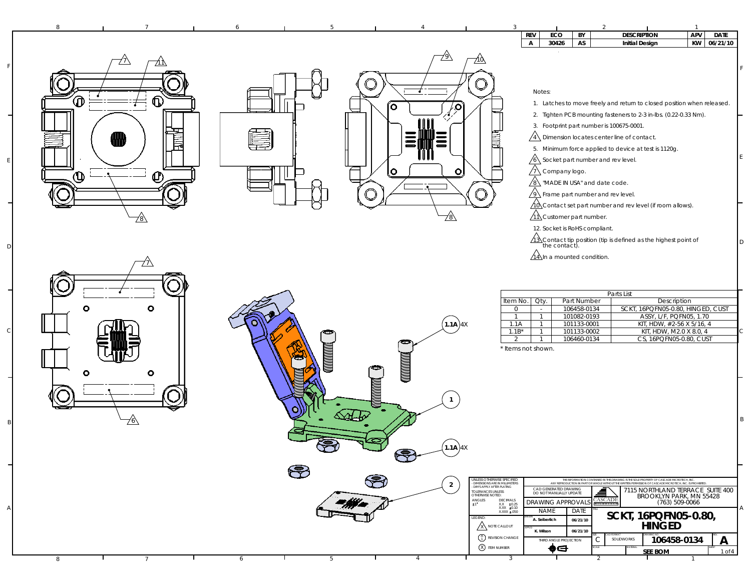| <b>REV</b><br>ECO<br>BY<br><b>DESCRIPTION</b><br>$\mathsf{A}$<br>30426<br>AS<br><b>Initial Design</b><br>/9<br>77\                                                                                                                                                                                                                                                                                                                                                                                                                                                                                                                                                                                                 | <b>APV</b><br><b>DATE</b><br>KW 06/21/10 |
|--------------------------------------------------------------------------------------------------------------------------------------------------------------------------------------------------------------------------------------------------------------------------------------------------------------------------------------------------------------------------------------------------------------------------------------------------------------------------------------------------------------------------------------------------------------------------------------------------------------------------------------------------------------------------------------------------------------------|------------------------------------------|
|                                                                                                                                                                                                                                                                                                                                                                                                                                                                                                                                                                                                                                                                                                                    |                                          |
| Notes:<br>᠗<br>⊕<br>1. Latches to move freely and return to closed position when released.<br>íо.<br>/9<br>2. Tighten PCB mounting fasteners to 2-3 in-lbs. (0.22-0.33 Nm).<br>3. Footprint part number is 100675-0001.<br>眼咽<br>₩<br>$\sqrt{4}$ Dimension locates center line of contact.<br>ШF<br>5. Minimum force applied to device at test is 1120g.                                                                                                                                                                                                                                                                                                                                                           |                                          |
| $\sqrt{6}$ Socket part number and rev level.<br> O <br>$\sqrt{1}$ Company logo.<br>ΙO<br>$\mathbf \Theta$<br>ம<br>$\sqrt{8}$ "MADE IN USA" and date code.<br>$\sqrt{9}$ Frame part number and rev level.<br>$\sqrt{10}$ Contact set part number and rev level (if room allows).<br>y<br>$\sqrt{11}$ Customer part number.<br><u>78\</u><br>12. Socket is RoHS compliant.                                                                                                                                                                                                                                                                                                                                           |                                          |
| $\sqrt{13}$ Contact tip position (tip is defined as the highest point of the contact).<br>$\sqrt{14}$ In a mounted condition.<br>Parts List<br>Item No.<br>Oty.<br>Part Number<br>Description<br>$\circ$<br>۰<br>SCKT, 16PQFN05-0.80, HINGED, CUST<br>106458-0134<br>$\overline{0}$<br>$\sim$<br>101082-0193<br>ASSY, L/F, PQFN05, 1.70<br>$\overline{1}$<br>$\mathbf{1}$<br>$(1.1A)$ 4X<br>101133-0001<br>KIT, HDW, #2-56 X 5/16, 4<br>1.1A<br>$\mathbf{1}$<br>$1.1B^*$<br>KIT, HDW, M2.0 X 8.0, 4<br>101133-0002<br>$\mathbf{1}$                                                                                                                                                                                 |                                          |
| CS, 16PQFN05-0.80, CUST<br>2<br>106460-0134<br>$\mathbf{1}$<br>NININI<br>* Items not shown.<br>ο                                                                                                                                                                                                                                                                                                                                                                                                                                                                                                                                                                                                                   |                                          |
| (1.1A)4X<br>$\bar{\mathbb{Z}}$<br>JNLESS OTHERWISE SPECIFIED<br>THE INFORMATION CONTAINED IN THIS DRAWING IS THE SOLE PROPERTY OF CASCADE MICROTECH, INC.<br>- DIMENSIONS ARE IN MILLIMETERS<br>- DIMS APPLY AFTER PLATING<br>ANY REPRODUCTION IN PART OR WHOLE WITHOUT THE WRITTEN PERMISSION OF CASCADE MICROTECH. INC. IS PROHIBITED<br>$\overline{2}$<br>CAD GENERATED DRAWING<br>7115 NORTHLAND TERRACE SUITE 400<br>≜<br>TOLERANCES UNLESS<br>OTHERWISE NOTED:<br>DO NOT MANUALLY UPDATE<br>BROOKLYN PARK, MN 55428<br><b>CASCADE</b><br>$ANGLES$<br>$\pm 1$<br>$\begin{array}{cc} \text{DECIMALS} \\ \text{XX} & \pm0.25 \\ \text{XXX} & \pm0.10 \end{array}$<br><b>DRAWING APPROVALS</b><br>(763) 509-0066 |                                          |
| <b>NAME</b><br>DATE<br>XXXX ±.050<br>SCKT, 16PQFN05-0.80,<br>LEGEND:<br>A. Seiberlich<br>06/21/10<br><b>ANOTE CALLOUT</b><br><b>HINGED</b><br>K. Wilson<br>06/21/10<br>$\begin{pmatrix} A \\ 1 \end{pmatrix}$ REVISION CHANGE<br>106458-0134<br>SOLIDWORKS<br>С<br>THIRD ANGLE PROJECTION<br>X ITEM NUMBER<br>⊕⊖<br><b>SEE BOM</b><br>6<br>5<br>4<br>8<br>$\mathcal{L}$                                                                                                                                                                                                                                                                                                                                            | A<br>1 of 4                              |

F

E

D

 $\mathcal{C}$ 

B

A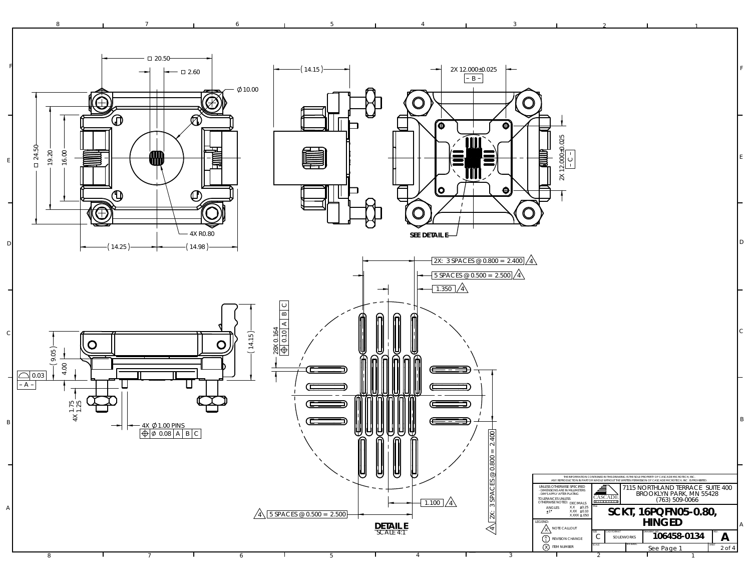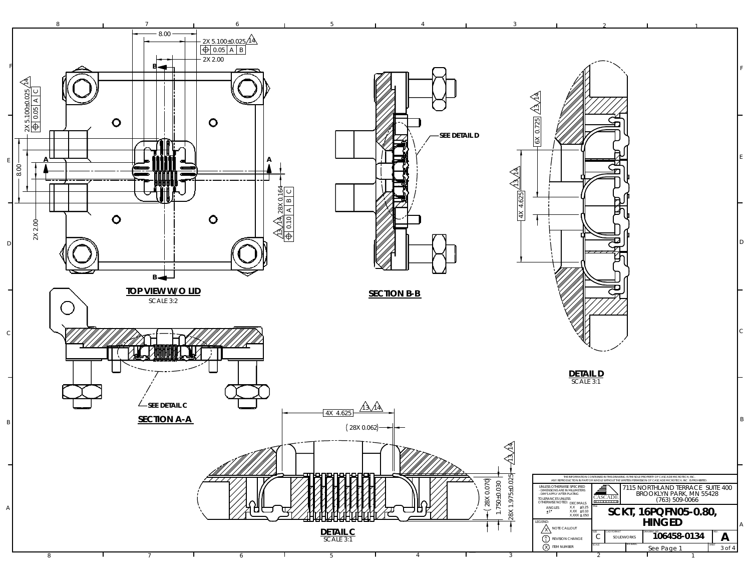